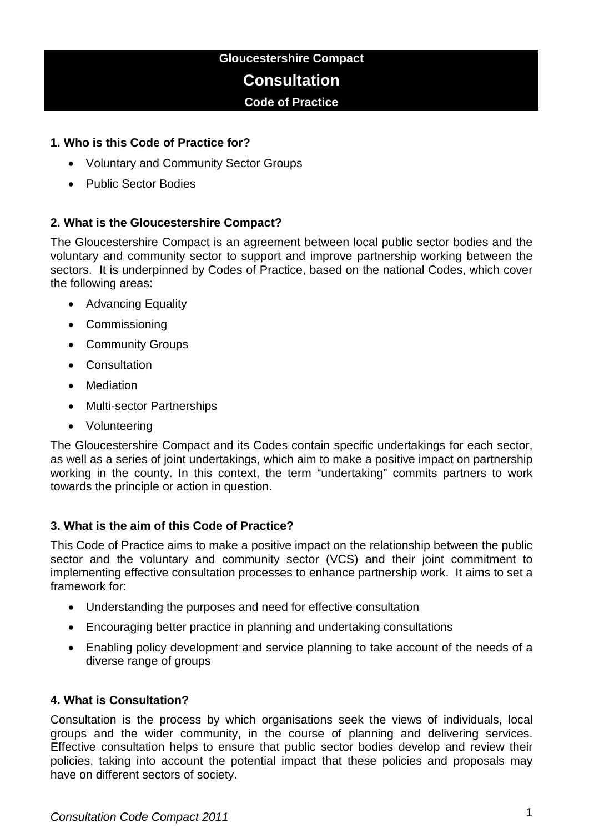# **Gloucestershire Compact Consultation**

# **Code of Practice**

# **1. Who is this Code of Practice for?**

- Voluntary and Community Sector Groups
- Public Sector Bodies

# **2. What is the Gloucestershire Compact?**

The Gloucestershire Compact is an agreement between local public sector bodies and the voluntary and community sector to support and improve partnership working between the sectors. It is underpinned by Codes of Practice, based on the national Codes, which cover the following areas:

- Advancing Equality
- Commissioning
- Community Groups
- Consultation
- Mediation
- Multi-sector Partnerships
- Volunteering

The Gloucestershire Compact and its Codes contain specific undertakings for each sector, as well as a series of joint undertakings, which aim to make a positive impact on partnership working in the county. In this context, the term "undertaking" commits partners to work towards the principle or action in question.

# **3. What is the aim of this Code of Practice?**

This Code of Practice aims to make a positive impact on the relationship between the public sector and the voluntary and community sector (VCS) and their joint commitment to implementing effective consultation processes to enhance partnership work. It aims to set a framework for:

- Understanding the purposes and need for effective consultation
- Encouraging better practice in planning and undertaking consultations
- Enabling policy development and service planning to take account of the needs of a diverse range of groups

#### **4. What is Consultation?**

Consultation is the process by which organisations seek the views of individuals, local groups and the wider community, in the course of planning and delivering services. Effective consultation helps to ensure that public sector bodies develop and review their policies, taking into account the potential impact that these policies and proposals may have on different sectors of society.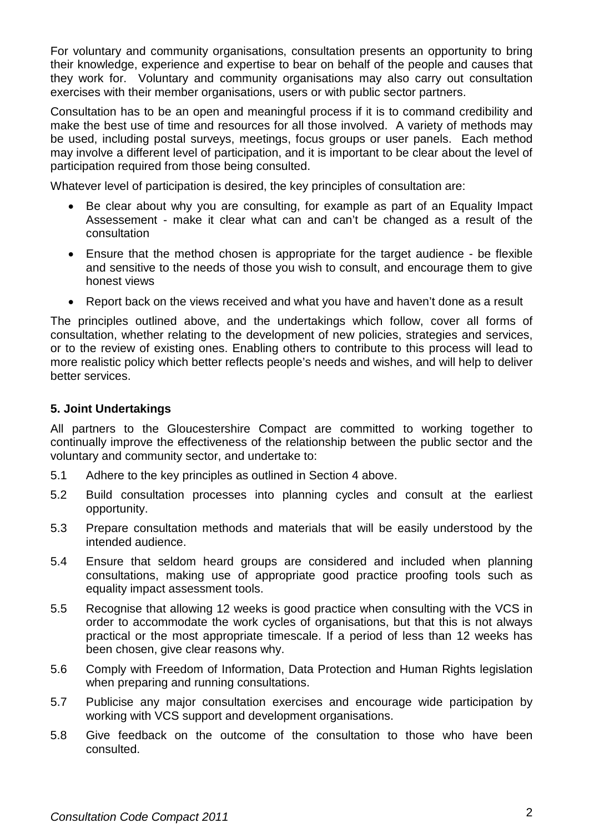For voluntary and community organisations, consultation presents an opportunity to bring their knowledge, experience and expertise to bear on behalf of the people and causes that they work for. Voluntary and community organisations may also carry out consultation exercises with their member organisations, users or with public sector partners.

Consultation has to be an open and meaningful process if it is to command credibility and make the best use of time and resources for all those involved. A variety of methods may be used, including postal surveys, meetings, focus groups or user panels. Each method may involve a different level of participation, and it is important to be clear about the level of participation required from those being consulted.

Whatever level of participation is desired, the key principles of consultation are:

- Be clear about why you are consulting, for example as part of an Equality Impact Assessement - make it clear what can and can't be changed as a result of the consultation
- Ensure that the method chosen is appropriate for the target audience be flexible and sensitive to the needs of those you wish to consult, and encourage them to give honest views
- Report back on the views received and what you have and haven't done as a result

The principles outlined above, and the undertakings which follow, cover all forms of consultation, whether relating to the development of new policies, strategies and services, or to the review of existing ones. Enabling others to contribute to this process will lead to more realistic policy which better reflects people's needs and wishes, and will help to deliver better services.

# **5. Joint Undertakings**

All partners to the Gloucestershire Compact are committed to working together to continually improve the effectiveness of the relationship between the public sector and the voluntary and community sector, and undertake to:

- 5.1 Adhere to the key principles as outlined in Section 4 above.
- 5.2 Build consultation processes into planning cycles and consult at the earliest opportunity.
- 5.3 Prepare consultation methods and materials that will be easily understood by the intended audience.
- 5.4 Ensure that seldom heard groups are considered and included when planning consultations, making use of appropriate good practice proofing tools such as equality impact assessment tools.
- 5.5 Recognise that allowing 12 weeks is good practice when consulting with the VCS in order to accommodate the work cycles of organisations, but that this is not always practical or the most appropriate timescale. If a period of less than 12 weeks has been chosen, give clear reasons why.
- 5.6 Comply with Freedom of Information, Data Protection and Human Rights legislation when preparing and running consultations.
- 5.7 Publicise any major consultation exercises and encourage wide participation by working with VCS support and development organisations.
- 5.8 Give feedback on the outcome of the consultation to those who have been consulted.